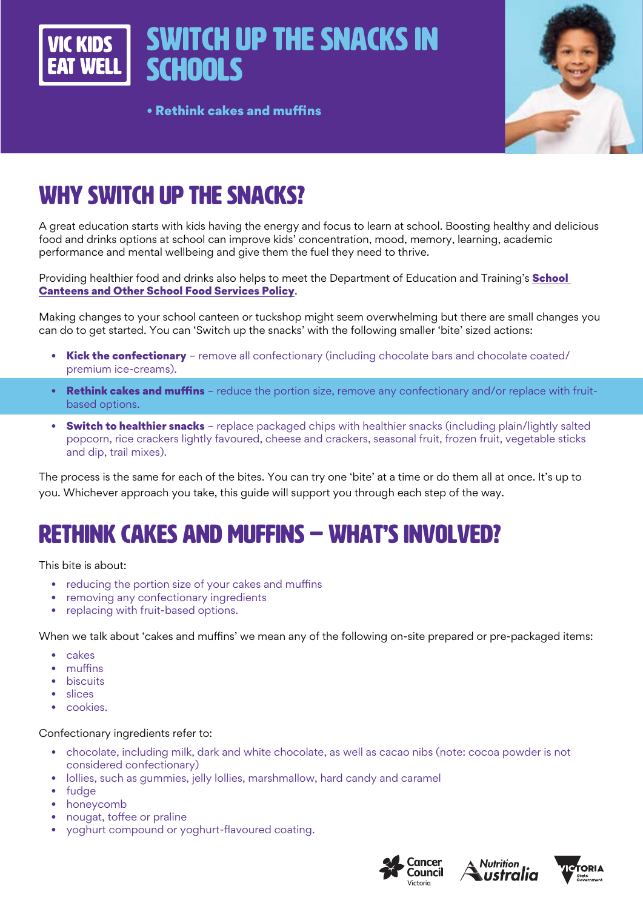Switch up the snacks in **VIC KIDS SCHOOLS** 

• Rethink cakes and muffins



# WHY SWITCH UP THE SNACKS?

A great education starts with kids having the energy and focus to learn at school. Boosting healthy and delicious food and drinks options at school can improve kids' concentration, mood, memory, learning, academic performance and mental wellbeing and give them the fuel they need to thrive.

Providing healthier food and drinks also helps to meet the Department of Education and Training's **School** Canteens and Other School Food Services Policy.

Making changes to your school canteen or tuckshop might seem overwhelming but there are small changes you can do to get started. You can 'Switch up the snacks' with the following smaller 'bite' sized actions:

- Kick the confectionary remove all confectionary (including chocolate bars and chocolate coated/ premium ice-creams).
- Rethink cakes and muffins reduce the portion size, remove any confectionary and/or replace with fruitbased options.
- Switch to healthier snacks replace packaged chips with healthier snacks (including plain/lightly salted popcorn, rice crackers lightly favoured, cheese and crackers, seasonal fruit, frozen fruit, vegetable sticks and dip, trail mixes).

The process is the same for each of the bites. You can try one 'bite' at a time or do them all at once. It's up to you. Whichever approach you take, this guide will support you through each step of the way.

# RETHINK CAKES AND MUFFINS – WHAT'S INVOLVED?

This bite is about:

- reducing the portion size of your cakes and muffins
- removing any confectionary ingredients
- replacing with fruit-based options.

When we talk about 'cakes and muffins' we mean any of the following on-site prepared or pre-packaged items:

- cakes
- muffins
- biscuits
- slices
- cookies.

#### Confectionary ingredients refer to:

- chocolate, including milk, dark and white chocolate, as well as cacao nibs (note: cocoa powder is not considered confectionary)
- lollies, such as gummies, jelly lollies, marshmallow, hard candy and caramel
- fudge
- honeycomb
- nougat, toffee or praline
- yoghurt compound or yoghurt-flavoured coating.





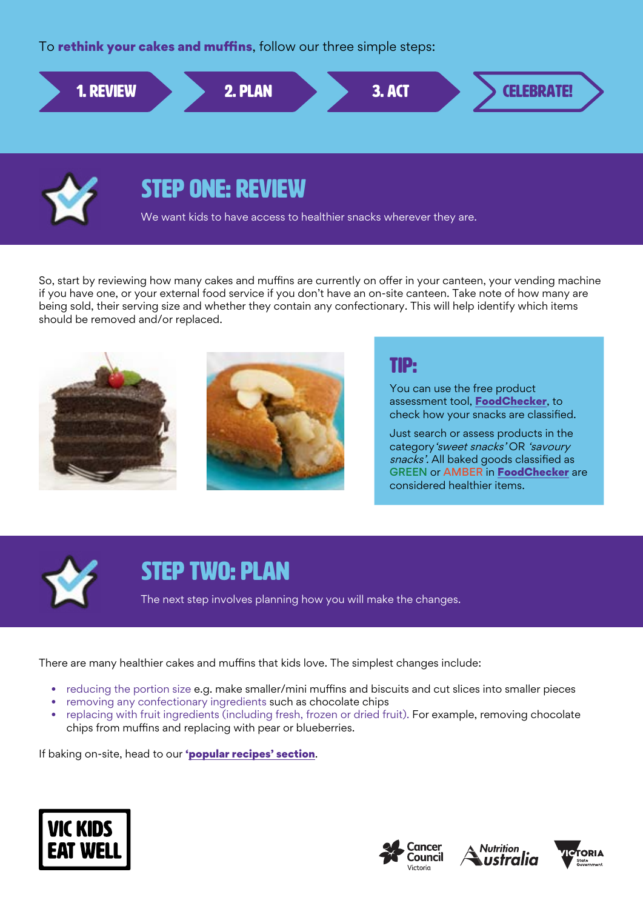To **rethink your cakes and muffins**, follow our three simple steps:





## STEP ONE: REVIEW

We want kids to have access to healthier snacks wherever they are.

So, start by reviewing how many cakes and muffins are currently on offer in your canteen, your vending machine if you have one, or your external food service if you don't have an on-site canteen. Take note of how many are being sold, their serving size and whether they contain any confectionary. This will help identify which items should be removed and/or replaced.



### TIP:

You can use the free product assessment tool, [FoodChecker](https://foodchecker.heas.health.vic.gov.au/), to check how your snacks are classified.

Just search or assess products in the category'sweet snacks' OR 'savoury snacks'. All baked goods classified as GREEN or AMBER in [FoodChecker](https://foodchecker.heas.health.vic.gov.au/) are considered healthier items.



## STEP TWO: PLAN

The next step involves planning how you will make the changes.

There are many healthier cakes and muffins that kids love. The simplest changes include:

- reducing the portion size e.g. make smaller/mini muffins and biscuits and cut slices into smaller pieces
- removing any confectionary ingredients such as chocolate chips
- replacing with fruit ingredients (including fresh, frozen or dried fruit). For example, removing chocolate chips from muffins and replacing with pear or blueberries.

If baking on-site, head to our '[popular recipes' section](http://heas.health.vic.gov.au/schools/recipes).







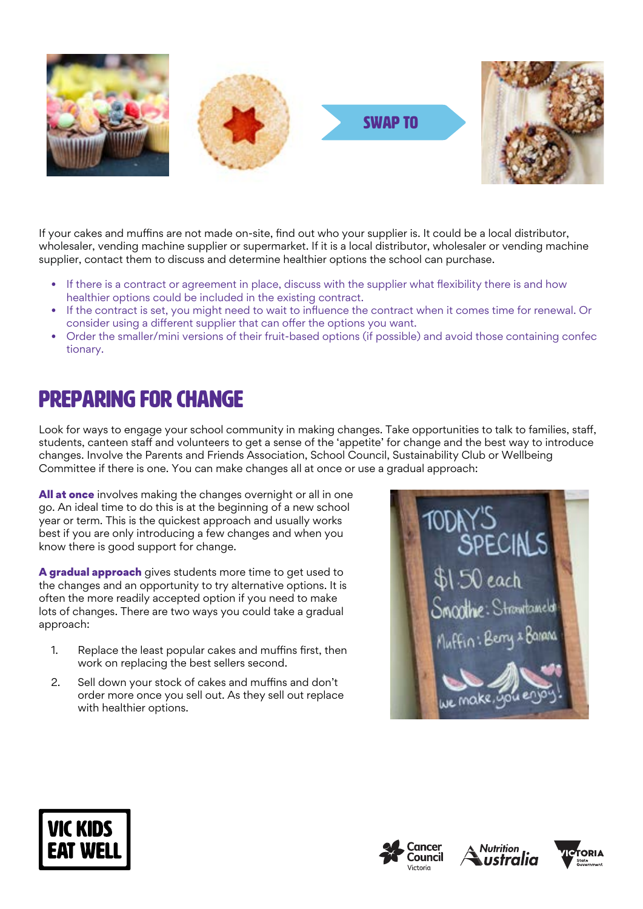

If your cakes and muffins are not made on-site, find out who your supplier is. It could be a local distributor, wholesaler, vending machine supplier or supermarket. If it is a local distributor, wholesaler or vending machine supplier, contact them to discuss and determine healthier options the school can purchase.

- If there is a contract or agreement in place, discuss with the supplier what flexibility there is and how healthier options could be included in the existing contract.
- If the contract is set, you might need to wait to influence the contract when it comes time for renewal. Or consider using a different supplier that can offer the options you want.
- Order the smaller/mini versions of their fruit-based options (if possible) and avoid those containing confec tionary.

# Preparing for change

Look for ways to engage your school community in making changes. Take opportunities to talk to families, staff, students, canteen staff and volunteers to get a sense of the 'appetite' for change and the best way to introduce changes. Involve the Parents and Friends Association, School Council, Sustainability Club or Wellbeing Committee if there is one. You can make changes all at once or use a gradual approach:

All at once involves making the changes overnight or all in one go. An ideal time to do this is at the beginning of a new school year or term. This is the quickest approach and usually works best if you are only introducing a few changes and when you know there is good support for change.

A gradual approach gives students more time to get used to the changes and an opportunity to try alternative options. It is often the more readily accepted option if you need to make lots of changes. There are two ways you could take a gradual approach:

- 1. Replace the least popular cakes and muffins first, then work on replacing the best sellers second.
- 2. Sell down your stock of cakes and muffins and don't order more once you sell out. As they sell out replace with healthier options.









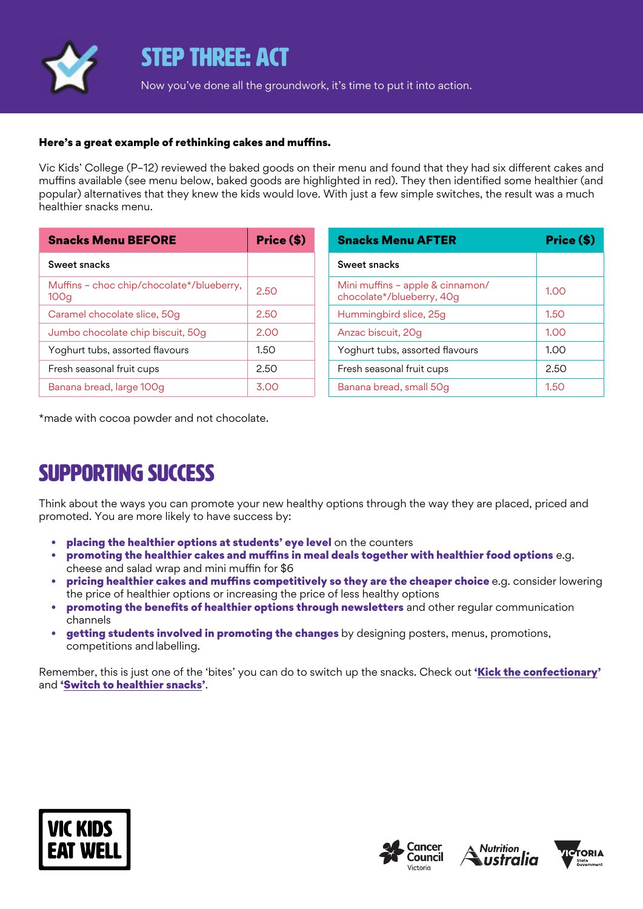

### STEP THREE: ACT

Now you've done all the groundwork, it's time to put it into action.

#### Here's a great example of rethinking cakes and muffins.

Vic Kids' College (P–12) reviewed the baked goods on their menu and found that they had six different cakes and muffins available (see menu below, baked goods are highlighted in red). They then identified some healthier (and popular) alternatives that they knew the kids would love. With just a few simple switches, the result was a much healthier snacks menu.

| <b>Snacks Menu BEFORE</b>                                     | Price (\$) |
|---------------------------------------------------------------|------------|
| Sweet snacks                                                  |            |
| Muffins – choc chip/chocolate*/blueberry,<br>100 <sub>q</sub> | 2.50       |
| Caramel chocolate slice, 50g                                  | 2.50       |
| Jumbo chocolate chip biscuit, 50g                             | 2.00       |
| Yoghurt tubs, assorted flavours                               | 1.5O       |
| Fresh seasonal fruit cups                                     | 2.50       |
| Banana bread, large 100g                                      | 3 OC       |

| <b>Snacks Menu AFTER</b>                                      | Price (\$) |
|---------------------------------------------------------------|------------|
| Sweet snacks                                                  |            |
| Mini muffins - apple & cinnamon/<br>chocolate*/blueberry, 40g | 1.00       |
| Hummingbird slice, 25g                                        | 1.50       |
| Anzac biscuit, 20g                                            | 1.00       |
| Yoghurt tubs, assorted flavours                               | 1.00       |
| Fresh seasonal fruit cups                                     | 2.50       |
| Banana bread, small 50g                                       | 1.50       |

\*made with cocoa powder and not chocolate.

# SUPPORTING SUCCESS

Think about the ways you can promote your new healthy options through the way they are placed, priced and promoted. You are more likely to have success by:

- placing the healthier options at students' eye level on the counters
- promoting the healthier cakes and muffins in meal deals together with healthier food options e.g. cheese and salad wrap and mini muffin for \$6
- pricing healthier cakes and muffins competitively so they are the cheaper choice e.g. consider lowering the price of healthier options or increasing the price of less healthy options
- promoting the benefits of healthier options through newsletters and other regular communication channels
- **getting students involved in promoting the changes** by designing posters, menus, promotions, competitions andlabelling.

Remember, this is just one of the 'bites' you can do to switch up the snacks. Check out 'Kick the confectionary' and 'Switch to healthier snacks'.